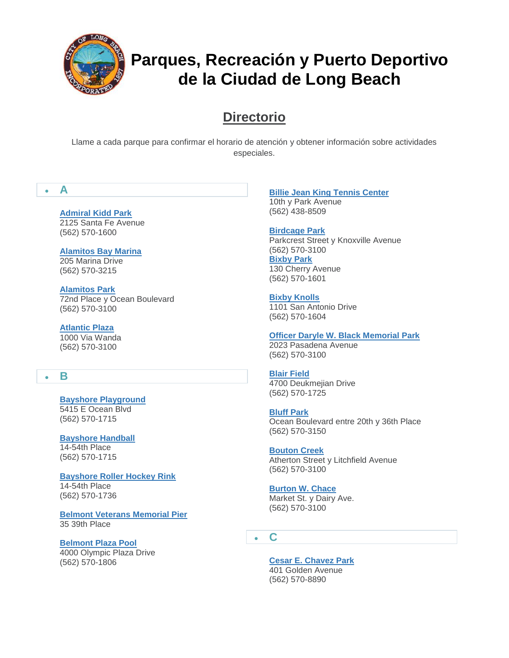

# **Directorio**

Llame a cada parque para confirmar el horario de atención y obtener información sobre actividades especiales.

## **A**

**[Admiral Kidd Park](http://www.longbeach.gov/park/park-and-facilities/directory/admiral-kidd-park/)** 2125 Santa Fe Avenue (562) 570-1600

**[Alamitos Bay Marina](http://www.longbeach.gov/park/park-and-facilities/directory/alamitos-bay-marina/)** 205 Marina Drive (562) 570-3215

**[Alamitos Park](http://www.longbeach.gov/park/park-and-facilities/directory/alamitos-park/)** 72nd Place y Ocean Boulevard (562) 570-3100

**[Atlantic Plaza](http://www.longbeach.gov/park/park-and-facilities/directory/atlantic-plaza/)** 1000 Via Wanda (562) 570-3100

## **B**

**[Bayshore Playground](http://www.longbeach.gov/park/park-and-facilities/directory/bayshore-playground/)** 5415 E Ocean Blvd (562) 570-1715

**[Bayshore Handball](http://www.longbeach.gov/park/park-and-facilities/directory/bayshore-handball-courts/)** 14-54th Place (562) 570-1715

**[Bayshore Roller Hockey Rink](http://www.longbeach.gov/park/park-and-facilities/directory/bayshore-roller-hockey-rink/)** 14-54th Place (562) 570-1736

**[Belmont Veterans Memorial Pier](http://www.longbeach.gov/park/park-and-facilities/parks-centers-pier/belmont-veterans-memorial-pier/)** 35 39th Place

**[Belmont Plaza Pool](http://www.longbeach.gov/park/recreation-programs/aquatics/pools/belmont-pool/)** 4000 Olympic Plaza Drive (562) 570-1806

**[Billie Jean King Tennis Center](http://www.longbeach.gov/park/park-and-facilities/directory/billie-jean-king-tennis-center/)** 10th y Park Avenue (562) 438-8509

**[Birdcage Park](http://www.longbeach.gov/park/park-and-facilities/directory/birdcage-park/)** Parkcrest Street y Knoxville Avenue (562) 570-3100 **[Bixby Park](http://www.longbeach.gov/park/park-and-facilities/directory/bixby-park/)** 130 Cherry Avenue (562) 570-1601

**[Bixby Knolls](http://www.longbeach.gov/park/park-and-facilities/directory/bixby-knolls/)** 1101 San Antonio Drive (562) 570-1604

**[Officer Daryle W. Black Memorial Park](http://www.longbeach.gov/park/park-and-facilities/directory/daryle-black-park/)** 2023 Pasadena Avenue (562) 570-3100

**[Blair Field](http://www.longbeach.gov/park/park-and-facilities/directory/blair-field/)** 4700 Deukmejian Drive (562) 570-1725

**[Bluff Park](http://www.longbeach.gov/park/park-and-facilities/directory/bluff-park/)** Ocean Boulevard entre 20th y 36th Place (562) 570-3150

**[Bouton Creek](http://www.longbeach.gov/park/park-and-facilities/directory/bouton-creek-park/)** Atherton Street y Litchfield Avenue (562) 570-3100

**[Burton W. Chace](http://www.longbeach.gov/park/park-and-facilities/directory/burton-w--chace-park/)** Market St. y Dairy Ave. (562) 570-3100

**C**

**[Cesar E. Chavez Park](http://www.longbeach.gov/park/park-and-facilities/directory/cesar-e--chavez-park/)** 401 Golden Avenue (562) 570-8890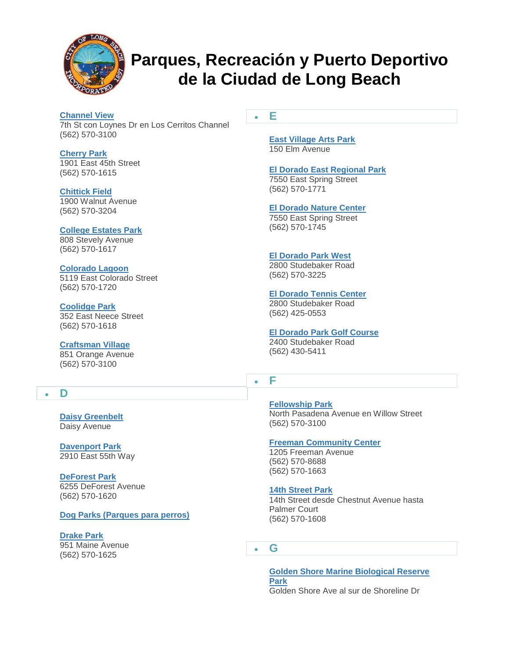

#### **[Channel View](http://www.longbeach.gov/park/park-and-facilities/directory/channel-view-park/)** 7th St con Loynes Dr en Los Cerritos Channel (562) 570-3100

**[Cherry Park](http://www.longbeach.gov/park/park-and-facilities/directory/cherry-park/)** 1901 East 45th Street (562) 570-1615

**[Chittick Field](http://www.longbeach.gov/park/park-and-facilities/directory/chittick-field/)** 1900 Walnut Avenue (562) 570-3204

**[College Estates Park](http://www.longbeach.gov/park/park-and-facilities/directory/college-estates-park/)** 808 Stevely Avenue (562) 570-1617

#### **[Colorado Lagoon](http://www.longbeach.gov/park/recreation-programs/aquatics/pools/belmont-pool/)** 5119 East Colorado Street (562) 570-1720

**[Coolidge Park](http://www.longbeach.gov/park/park-and-facilities/directory/coolidge-park/)** 352 East Neece Street

(562) 570-1618

## **[Craftsman Village](http://www.longbeach.gov/Park/Park-and-Facilities/Directory/Craftsman-Village-Park/)**

851 Orange Avenue (562) 570-3100

## **D**

**[Daisy Greenbelt](http://www.longbeach.gov/park/park-and-facilities/directory/daisy-greenbelt/)** Daisy Avenue

**[Davenport Park](http://www.longbeach.gov/park/park-and-facilities/directory/ed-pops-davenport-park/)** 2910 East 55th Way

**[DeForest Park](http://www.longbeach.gov/park/park-and-facilities/directory/deforest-park/)** 6255 DeForest Avenue (562) 570-1620

**[Dog Parks \(Parques para perros\)](http://www.longbeach.gov/park/park-and-facilities/directory/deforest-park/)**

**[Drake Park](http://www.longbeach.gov/park/park-and-facilities/directory/drake-park/)** 951 Maine Avenue (562) 570-1625

**E**

**[East Village Arts Park](http://www.longbeach.gov/park/park-and-facilities/directory/east-village-arts-park/)** 150 Elm Avenue

#### **[El Dorado East Regional Park](http://www.longbeach.gov/park/park-and-facilities/directory/el-dorado-east-regional-park/)**

7550 East Spring Street (562) 570-1771

**[El Dorado Nature Center](http://www.longbeach.gov/park/park-and-facilities/parks-centers-pier/el-dorado-nature-center/)**

7550 East Spring Street (562) 570-1745

#### **[El Dorado Park West](http://www.longbeach.gov/park/park-and-facilities/directory/el-dorado-park-west/)**

2800 Studebaker Road (562) 570-3225

#### **[El Dorado Tennis Center](http://www.longbeach.gov/park/park-and-facilities/directory/el-dorado-tennis-center/)**

2800 Studebaker Road (562) 425-0553

#### **[El Dorado Park Golf Course](http://www.longbeach.gov/park/park-and-facilities/directory/el-dorado-golf-course/)**

2400 Studebaker Road (562) 430-5411

**F**

**[Fellowship Park](http://www.longbeach.gov/park/park-and-facilities/directory/fellowship-park/)** North Pasadena Avenue en Willow Street (562) 570-3100

#### **[Freeman Community Center](http://www.longbeach.gov/park/park-and-facilities/directory/freeman-community-center/)**

1205 Freeman Avenue (562) 570-8688 (562) 570-1663

#### **[14th Street Park](http://www.longbeach.gov/park/park-and-facilities/directory/14th-street-park/)**

14th Street desde Chestnut Avenue hasta Palmer Court (562) 570-1608

**G**

**[Golden Shore Marine Biological Reserve](http://www.longbeach.gov/park/park-and-facilities/directory/golden-shore-marine-biological-reserve-park/)  [Park](http://www.longbeach.gov/park/park-and-facilities/directory/golden-shore-marine-biological-reserve-park/)** Golden Shore Ave al sur de Shoreline Dr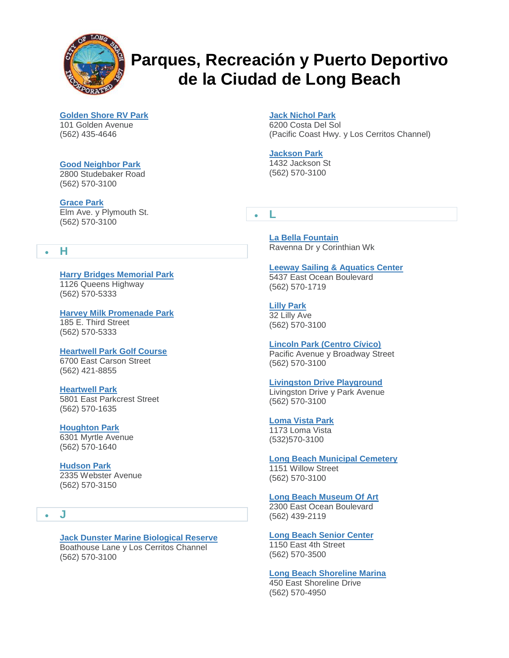

**[Golden Shore RV Park](http://www.longbeach.gov/park/park-and-facilities/directory/golden-shore-rv-resort/)**

101 Golden Avenue (562) 435-4646

## **[Good Neighbor Park](http://www.longbeach.gov/park/park-and-facilities/directory/good-neighbor-park/)**

2800 Studebaker Road (562) 570-3100

#### **[Grace Park](http://www.longbeach.gov/park/park-and-facilities/directory/grace-park/)**

Elm Ave. y Plymouth St. (562) 570-3100

## **H**

**[Harry Bridges Memorial Park](http://www.longbeach.gov/park/park-and-facilities/directory/queen-mary-events-park/)** 1126 Queens Highway (562) 570-5333

#### **[Harvey Milk Promenade Park](http://www.longbeach.gov/park/park-and-facilities/directory/harvey-milk-promenade-park/)** 185 E. Third Street

(562) 570-5333

## **[Heartwell Park Golf Course](http://www.longbeach.gov/park/park-and-facilities/directory/heartwell-golf-course/)**

6700 East Carson Street (562) 421-8855

## **[Heartwell Park](http://www.longbeach.gov/park/park-and-facilities/directory/heartwell-park/)**

5801 East Parkcrest Street (562) 570-1635

#### **[Houghton Park](http://www.longbeach.gov/park/park-and-facilities/directory/houghton-park/)**

6301 Myrtle Avenue (562) 570-1640

## **[Hudson Park](http://www.longbeach.gov/park/park-and-facilities/directory/hudson-park/)**

2335 Webster Avenue (562) 570-3150

#### **J**

#### **[Jack Dunster Marine Biological Reserve](http://www.longbeach.gov/park/park-and-facilities/directory/jack-dunster-marine-biological-reserve/)** Boathouse Lane y Los Cerritos Channel (562) 570-3100

#### **[Jack Nichol Park](http://www.longbeach.gov/park/park-and-facilities/directory/jack-nichol-park/)**

6200 Costa Del Sol (Pacific Coast Hwy. y Los Cerritos Channel)

## **[Jackson Park](http://www.longbeach.gov/park/park-and-facilities/directory/jackson-park/)**

1432 Jackson St (562) 570-3100

**L**

**[La Bella Fountain](http://www.longbeach.gov/park/park-and-facilities/directory/la-bella-fontana-di-napoli/)** Ravenna Dr y Corinthian Wk

#### **[Leeway Sailing & Aquatics Center](http://www.longbeach.gov/park/recreation-programs/aquatics/leeway-sailing-and-aquatics-center/)**

5437 East Ocean Boulevard (562) 570-1719

**[Lilly Park](http://www.longbeach.gov/park/park-and-facilities/directory/lilly-park/)** 32 Lilly Ave (562) 570-3100

## **[Lincoln Park \(Centro Cívico\)](http://www.longbeach.gov/park/park-and-facilities/directory/lincoln-park/)**

Pacific Avenue y Broadway Street (562) 570-3100

#### **[Livingston Drive Playground](http://www.longbeach.gov/park/park-and-facilities/directory/livingston-drive-playground/)**

Livingston Drive y Park Avenue (562) 570-3100

**[Loma Vista Park](http://www.longbeach.gov/park/park-and-facilities/directory/loma-vista/)** 1173 Loma Vista (532)570-3100

## **[Long Beach Municipal Cemetery](http://www.longbeach.gov/park/park-and-facilities/directory/long-beach-municipal-cemetery/)**

1151 Willow Street (562) 570-3100

(562) 570-4950

#### **[Long Beach Museum Of Art](http://www.longbeach.gov/park/park-and-facilities/directory/long-beach-museum-of-art/)**

2300 East Ocean Boulevard (562) 439-2119

**[Long Beach Senior Center](http://www.longbeach.gov/park/park-and-facilities/directory/long-beach-senior-center/)** 1150 East 4th Street (562) 570-3500

**[Long Beach Shoreline Marina](http://www.longbeach.gov/park/park-and-facilities/directory/long-beach-shoreline-marina/)** 450 East Shoreline Drive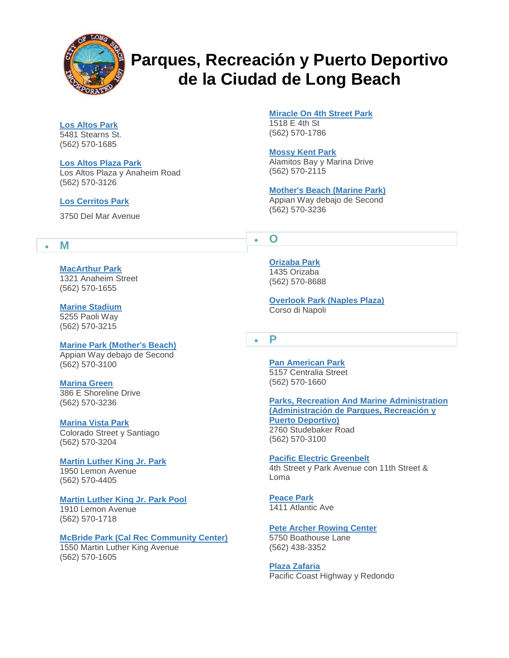

#### **[Los Altos Park](http://www.longbeach.gov/park/park-and-facilities/directory/los-altos-park/)** 5481 Stearns St.

(562) 570-1685

## **[Los Altos Plaza Park](http://www.longbeach.gov/park/park-and-facilities/directory/los-altos-park-plaza/)**

Los Altos Plaza y Anaheim Road (562) 570-3126

## **[Los Cerritos Park](http://www.longbeach.gov/park/park-and-facilities/directory/los-cerritos-park/)**

3750 Del Mar Avenue

## **M**

**[MacArthur Park](http://www.longbeach.gov/park/park-and-facilities/directory/macarthur-park/)** 1321 Anaheim Street (562) 570-1655

## **[Marine Stadium](http://www.longbeach.gov/park/park-and-facilities/directory/marine-stadium/)**

5255 Paoli Way (562) 570-3215

#### **[Marine Park \(Mother's Beach\)](http://www.longbeach.gov/park/park-and-facilities/directory/marine-park-(mothers-beach)/)** Appian Way debajo de Second

(562) 570-3100

## **[Marina Green](http://www.longbeach.gov/park/park-and-facilities/directory/marina-green/)**

386 E Shoreline Drive (562) 570-3236

#### **[Marina Vista Park](http://www.longbeach.gov/park/park-and-facilities/directory/marina-vista-park/)**

Colorado Street y Santiago (562) 570-3204

#### **[Martin Luther King Jr. Park](http://www.longbeach.gov/park/park-and-facilities/directory/martin-luther-king-jr--park/)**

1950 Lemon Avenue (562) 570-4405

#### **[Martin Luther King Jr. Park Pool](http://www.longbeach.gov/park/recreation-programs/aquatics/pools/martin-luther-king-jr-park-pool/)**

1910 Lemon Avenue (562) 570-1718

## **[McBride Park \(Cal Rec Community Center\)](http://www.longbeach.gov/park/park-and-facilities/directory/mcbride-park/)**

1550 Martin Luther King Avenue (562) 570-1605

**[Miracle On 4th Street Park](http://www.longbeach.gov/park/park-and-facilities/directory/miracle-on-fourth-street-park/)**

1518 E 4th St (562) 570-1786

#### **[Mossy Kent Park](http://www.longbeach.gov/park/park-and-facilities/directory/mossy-kent-park/)**

Alamitos Bay y Marina Drive (562) 570-2115

## **[Mother's Beach \(Marine Park\)](http://www.longbeach.gov/park/park-and-facilities/directory/marine-park-(mothers-beach)/)**

Appian Way debajo de Second (562) 570-3236

## **O**

**[Orizaba Park](http://www.longbeach.gov/park/park-and-facilities/directory/orizaba-park/)** 1435 Orizaba (562) 570-8688

**[Overlook Park \(Naples Plaza\)](http://www.longbeach.gov/park/park-and-facilities/directory/overlook-park/)** Corso di Napoli

## **P**

**[Pan American Park](http://www.longbeach.gov/park/park-and-facilities/directory/pan-american-park/)** 5157 Centralia Street (562) 570-1660

**[Parks, Recreation And Marine Administration](http://www.longbeach.gov/park/park-and-facilities/directory/parks-recreation-and-marine-administration-offices/)  [\(Administración de Parques, Recreación y](http://www.longbeach.gov/park/park-and-facilities/directory/parks-recreation-and-marine-administration-offices/)  [Puerto Deportivo\)](http://www.longbeach.gov/park/park-and-facilities/directory/parks-recreation-and-marine-administration-offices/)** 2760 Studebaker Road (562) 570-3100

#### **[Pacific Electric Greenbelt](http://www.longbeach.gov/park/park-and-facilities/directory/pacific-electric-greenbelt/)** 4th Street y Park Avenue con 11th Street & Loma

**[Peace Park](http://www.longbeach.gov/park/park-and-facilities/directory/peace-park/)** 1411 Atlantic Ave

## **[Pete Archer Rowing Center](http://www.longbeach.gov/park/recreation-programs/aquatics/pete-archer-rowing-center/)**

5750 Boathouse Lane (562) 438-3352

#### **[Plaza Zafaria](http://www.longbeach.gov/park/park-and-facilities/directory/plaza-zafaria/)**

Pacific Coast Highway y Redondo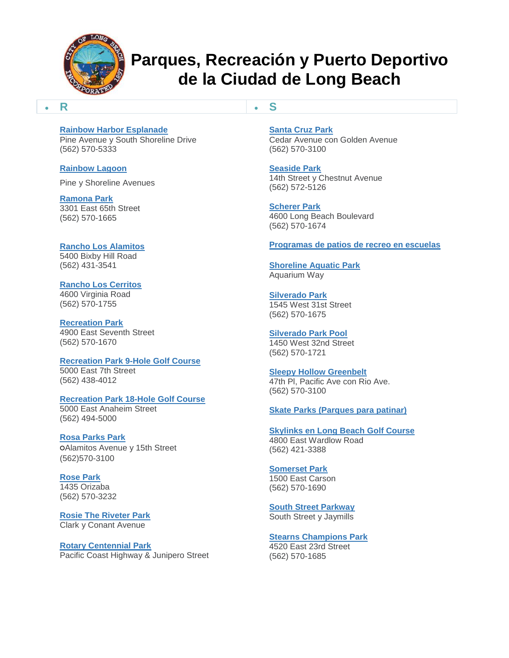

**S**

#### **R**

#### **[Rainbow Harbor Esplanade](http://www.longbeach.gov/park/park-and-facilities/directory/rainbow-harbor-esplanade/)**

Pine Avenue y South Shoreline Drive (562) 570-5333

#### **[Rainbow Lagoon](http://www.longbeach.gov/park/park-and-facilities/directory/rainbow-lagoon/)**

Pine y Shoreline Avenues

#### **[Ramona Park](http://www.longbeach.gov/park/park-and-facilities/directory/ramona-park/)**

3301 East 65th Street (562) 570-1665

#### **[Rancho Los Alamitos](http://www.longbeach.gov/park/park-and-facilities/directory/rancho-los-alamitos/)** 5400 Bixby Hill Road

(562) 431-3541

#### **[Rancho Los Cerritos](http://www.longbeach.gov/park/park-and-facilities/directory/rancho-los-cerritos/)**

4600 Virginia Road (562) 570-1755

#### **[Recreation Park](http://www.longbeach.gov/park/park-and-facilities/directory/recreation-park/)** 4900 East Seventh Street (562) 570-1670

## **[Recreation Park 9-Hole Golf Course](http://www.longbeach.gov/park/park-and-facilities/directory/recreation-park-south-9-hole-golf-course/)** 5000 East 7th Street

(562) 438-4012

#### **[Recreation Park 18-Hole Golf Course](http://www.longbeach.gov/park/park-and-facilities/directory/recreation-park-18-hole-golf-course/)** 5000 East Anaheim Street (562) 494-5000

**[Rosa Parks Park](http://www.longbeach.gov/park/park-and-facilities/directory/rosa-parks-park/)**

#### ○Alamitos Avenue y 15th Street (562)570-3100

## **[Rose Park](http://www.longbeach.gov/park/park-and-facilities/directory/rose-park/)**

1435 Orizaba (562) 570-3232

#### **[Rosie The Riveter Park](http://www.longbeach.gov/park/park-and-facilities/directory/rosie-the-riveter-park/)** Clark y Conant Avenue

#### **[Rotary Centennial Park](http://www.longbeach.gov/park/park-and-facilities/directory/rotary-centennial-park/)** Pacific Coast Highway & Junipero Street

**[Santa Cruz Park](http://www.longbeach.gov/park/park-and-facilities/directory/santa-cruz-park/)**

Cedar Avenue con Golden Avenue (562) 570-3100

## **[Seaside Park](http://www.longbeach.gov/park/park-and-facilities/directory/seaside-park/)**

14th Street y Chestnut Avenue (562) 572-5126

# **[Scherer Park](http://www.longbeach.gov/park/park-and-facilities/directory/scherer-park/)**

4600 Long Beach Boulevard (562) 570-1674

## **[Programas de patios de recreo en escuelas](http://www.longbeach.gov/park/park-and-facilities/directory/school-playground-programs/)**

**[Shoreline Aquatic Park](http://www.longbeach.gov/park/park-and-facilities/directory/shoreline-aquatic-park/)** Aquarium Way

#### **[Silverado Park](http://www.longbeach.gov/park/park-and-facilities/directory/silverado-park/)** 1545 West 31st Street (562) 570-1675

#### **[Silverado Park Pool](http://www.longbeach.gov/park/recreation-programs/aquatics/pools/silverado-park-pool/)** 1450 West 32nd Street (562) 570-1721

**[Sleepy Hollow Greenbelt](http://www.longbeach.gov/park/park-and-facilities/directory/sleepy-hollow-greenbelt/)** 47th Pl, Pacific Ave con Rio Ave. (562) 570-3100

#### **[Skate Parks \(Parques para patinar\)](http://www.longbeach.gov/park/recreation-programs/sports-and-athletics/skate-parks/)**

**[Skylinks en Long Beach Golf Course](http://www.longbeach.gov/park/park-and-facilities/directory/skylinks-golf-course/)** 4800 East Wardlow Road (562) 421-3388

## **[Somerset Park](http://www.longbeach.gov/park/park-and-facilities/directory/somerset-park/)**

1500 East Carson (562) 570-1690

## **[South Street Parkway](http://www.longbeach.gov/park/park-and-facilities/directory/south-street-parkway/)**

South Street y Jaymills

## **[Stearns Champions Park](http://www.longbeach.gov/park/park-and-facilities/directory/stearns-champions-park/)**

4520 East 23rd Street (562) 570-1685